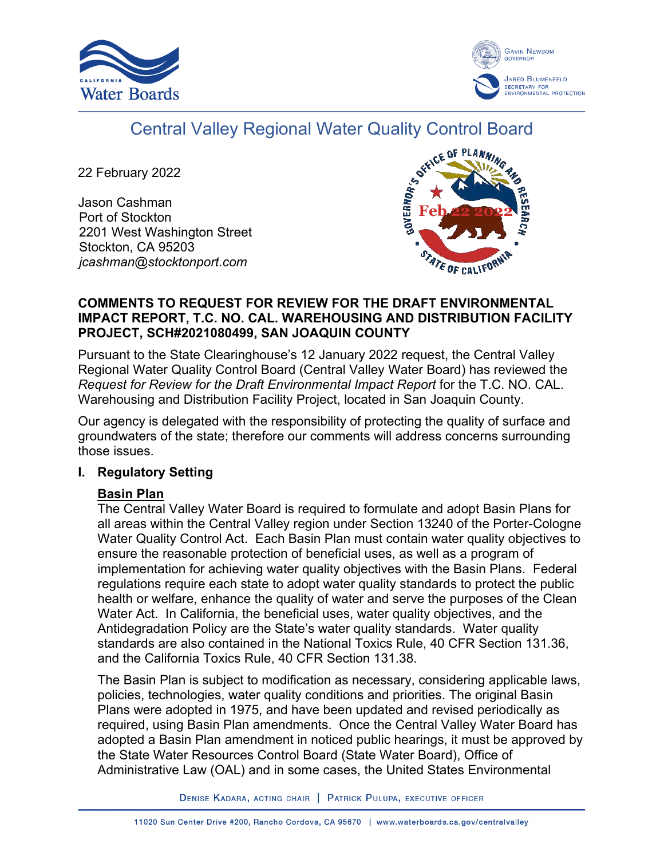



# Central Valley Regional Water Quality Control Board

22 February 2022

Jason Cashman Port of Stockton 2201 West Washington Street Stockton, CA 95203 *jcashman@stocktonport.com*



### **COMMENTS TO REQUEST FOR REVIEW FOR THE DRAFT ENVIRONMENTAL IMPACT REPORT, T.C. NO. CAL. WAREHOUSING AND DISTRIBUTION FACILITY PROJECT, SCH#2021080499, SAN JOAQUIN COUNTY**

Pursuant to the State Clearinghouse's 12 January 2022 request, the Central Valley Regional Water Quality Control Board (Central Valley Water Board) has reviewed the *Request for Review for the Draft Environmental Impact Report* for the T.C. NO. CAL. Warehousing and Distribution Facility Project, located in San Joaquin County.

Our agency is delegated with the responsibility of protecting the quality of surface and groundwaters of the state; therefore our comments will address concerns surrounding those issues.

### **I. Regulatory Setting**

### **Basin Plan**

The Central Valley Water Board is required to formulate and adopt Basin Plans for all areas within the Central Valley region under Section 13240 of the Porter-Cologne Water Quality Control Act. Each Basin Plan must contain water quality objectives to ensure the reasonable protection of beneficial uses, as well as a program of implementation for achieving water quality objectives with the Basin Plans. Federal regulations require each state to adopt water quality standards to protect the public health or welfare, enhance the quality of water and serve the purposes of the Clean Water Act. In California, the beneficial uses, water quality objectives, and the Antidegradation Policy are the State's water quality standards. Water quality standards are also contained in the National Toxics Rule, 40 CFR Section 131.36, and the California Toxics Rule, 40 CFR Section 131.38.

The Basin Plan is subject to modification as necessary, considering applicable laws, policies, technologies, water quality conditions and priorities. The original Basin Plans were adopted in 1975, and have been updated and revised periodically as required, using Basin Plan amendments. Once the Central Valley Water Board has adopted a Basin Plan amendment in noticed public hearings, it must be approved by the State Water Resources Control Board (State Water Board), Office of Administrative Law (OAL) and in some cases, the United States Environmental

DENISE KADARA, ACTING CHAIR | PATRICK PULUPA, EXECUTIVE OFFICER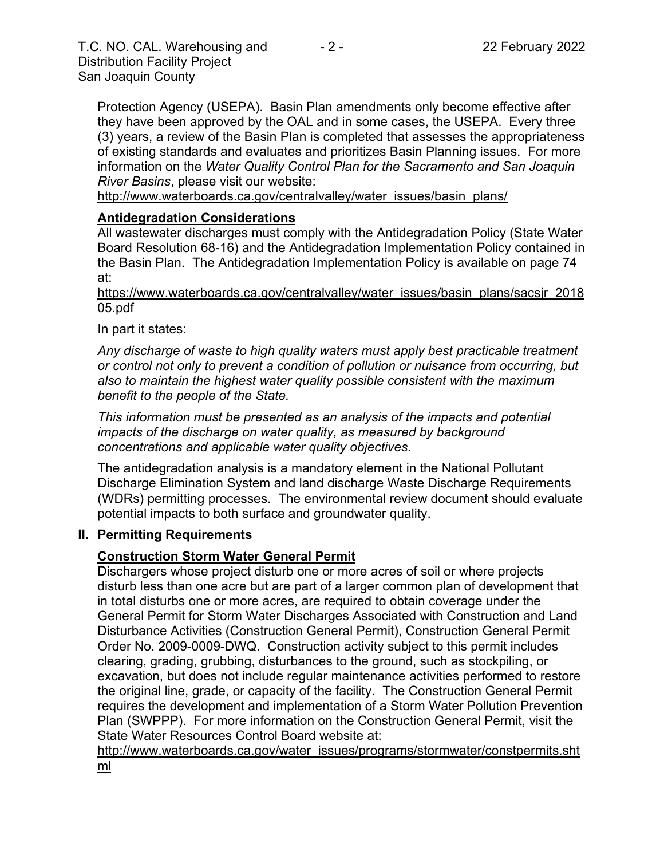Protection Agency (USEPA). Basin Plan amendments only become effective after they have been approved by the OAL and in some cases, the USEPA. Every three (3) years, a review of the Basin Plan is completed that assesses the appropriateness of existing standards and evaluates and prioritizes Basin Planning issues. For more information on the *Water Quality Control Plan for the Sacramento and San Joaquin River Basins*, please visit our website:

[http://www.waterboards.ca.gov/centralvalley/water\\_issues/basin\\_plans/](http://www.waterboards.ca.gov/centralvalley/water_issues/basin_plans/)

#### **Antidegradation Considerations**

All wastewater discharges must comply with the Antidegradation Policy (State Water Board Resolution 68-16) and the Antidegradation Implementation Policy contained in the Basin Plan. The Antidegradation Implementation Policy is available on page 74 at:

https://www.waterboards.ca.gov/centralvalley/water\_issues/basin\_plans/sacsjr\_2018 05.pdf

In part it states:

*Any discharge of waste to high quality waters must apply best practicable treatment or control not only to prevent a condition of pollution or nuisance from occurring, but also to maintain the highest water quality possible consistent with the maximum benefit to the people of the State.*

*This information must be presented as an analysis of the impacts and potential impacts of the discharge on water quality, as measured by background concentrations and applicable water quality objectives.*

The antidegradation analysis is a mandatory element in the National Pollutant Discharge Elimination System and land discharge Waste Discharge Requirements (WDRs) permitting processes. The environmental review document should evaluate potential impacts to both surface and groundwater quality.

#### **II. Permitting Requirements**

#### **Construction Storm Water General Permit**

Dischargers whose project disturb one or more acres of soil or where projects disturb less than one acre but are part of a larger common plan of development that in total disturbs one or more acres, are required to obtain coverage under the General Permit for Storm Water Discharges Associated with Construction and Land Disturbance Activities (Construction General Permit), Construction General Permit Order No. 2009-0009-DWQ. Construction activity subject to this permit includes clearing, grading, grubbing, disturbances to the ground, such as stockpiling, or excavation, but does not include regular maintenance activities performed to restore the original line, grade, or capacity of the facility. The Construction General Permit requires the development and implementation of a Storm Water Pollution Prevention Plan (SWPPP). For more information on the Construction General Permit, visit the State Water Resources Control Board website at:

[http://www.waterboards.ca.gov/water\\_issues/programs/stormwater/constpermits.sht](http://www.waterboards.ca.gov/water_issues/programs/stormwater/constpermits.shtml) [ml](http://www.waterboards.ca.gov/water_issues/programs/stormwater/constpermits.shtml)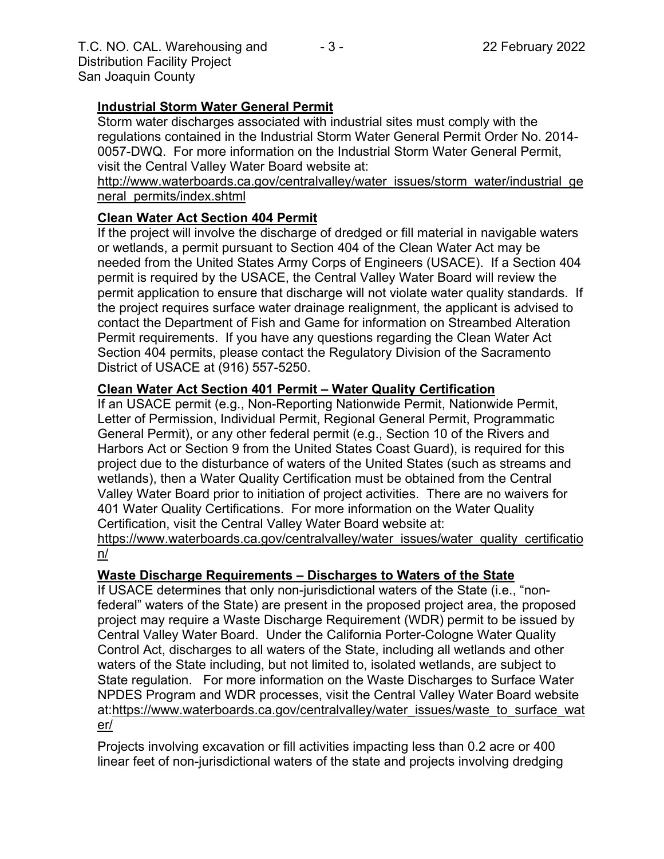## **Industrial Storm Water General Permit**

Storm water discharges associated with industrial sites must comply with the regulations contained in the Industrial Storm Water General Permit Order No. 2014- 0057-DWQ. For more information on the Industrial Storm Water General Permit, visit the Central Valley Water Board website at:

http://www.waterboards.ca.gov/centralvalley/water\_issues/storm\_water/industrial\_ge neral\_permits/index.shtml

# **Clean Water Act Section 404 Permit**

If the project will involve the discharge of dredged or fill material in navigable waters or wetlands, a permit pursuant to Section 404 of the Clean Water Act may be needed from the United States Army Corps of Engineers (USACE). If a Section 404 permit is required by the USACE, the Central Valley Water Board will review the permit application to ensure that discharge will not violate water quality standards. If the project requires surface water drainage realignment, the applicant is advised to contact the Department of Fish and Game for information on Streambed Alteration Permit requirements. If you have any questions regarding the Clean Water Act Section 404 permits, please contact the Regulatory Division of the Sacramento District of USACE at (916) 557-5250.

### **Clean Water Act Section 401 Permit – Water Quality Certification**

If an USACE permit (e.g., Non-Reporting Nationwide Permit, Nationwide Permit, Letter of Permission, Individual Permit, Regional General Permit, Programmatic General Permit), or any other federal permit (e.g., Section 10 of the Rivers and Harbors Act or Section 9 from the United States Coast Guard), is required for this project due to the disturbance of waters of the United States (such as streams and wetlands), then a Water Quality Certification must be obtained from the Central Valley Water Board prior to initiation of project activities. There are no waivers for 401 Water Quality Certifications. For more information on the Water Quality Certification, visit the Central Valley Water Board website at:

https://www.waterboards.ca.gov/centralvalley/water\_issues/water\_quality\_certificatio n/

### **Waste Discharge Requirements – Discharges to Waters of the State**

If USACE determines that only non-jurisdictional waters of the State (i.e., "nonfederal" waters of the State) are present in the proposed project area, the proposed project may require a Waste Discharge Requirement (WDR) permit to be issued by Central Valley Water Board. Under the California Porter-Cologne Water Quality Control Act, discharges to all waters of the State, including all wetlands and other waters of the State including, but not limited to, isolated wetlands, are subject to State regulation. For more information on the Waste Discharges to Surface Water NPDES Program and WDR processes, visit the Central Valley Water Board website at:https://www.waterboards.ca.gov/centralvalley/water\_issues/waste\_to\_surface\_wat er/

Projects involving excavation or fill activities impacting less than 0.2 acre or 400 linear feet of non-jurisdictional waters of the state and projects involving dredging